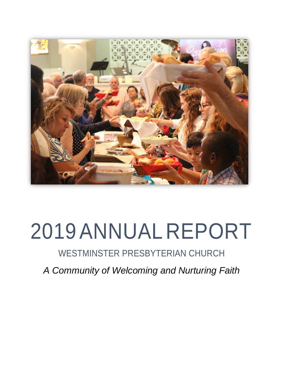

# 2019ANNUAL REPORT

## WESTMINSTER PRESBYTERIAN CHURCH

*A Community of Welcoming and Nurturing Faith*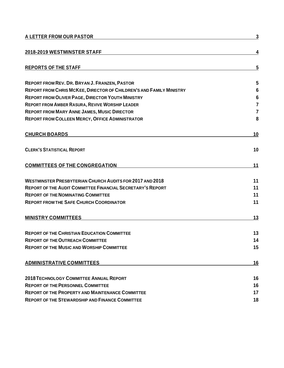| A LETTER FROM OUR PASTOR                                            | 3               |
|---------------------------------------------------------------------|-----------------|
| 2018-2019 WESTMINSTER STAFF                                         | 4               |
| <b>REPORTS OF THE STAFF</b>                                         | 5               |
| <b>REPORT FROM REV. DR. BRYAN J. FRANZEN, PASTOR</b>                | 5               |
| REPORT FROM CHRIS MCKEE, DIRECTOR OF CHILDREN'S AND FAMILY MINISTRY | $6\phantom{1}6$ |
| <b>REPORT FROM OLIVER PAGE, DIRECTOR YOUTH MINISTRY</b>             | $6\phantom{1}6$ |
| <b>REPORT FROM AMBER RASURA, REVIVE WORSHIP LEADER</b>              | $\overline{7}$  |
| <b>REPORT FROM MARY ANNE JAMES, MUSIC DIRECTOR</b>                  | $\overline{7}$  |
| <b>REPORT FROM COLLEEN MERCY, OFFICE ADMINISTRATOR</b>              | 8               |
| <b>CHURCH BOARDS</b>                                                | 10              |
| <b>CLERK'S STATISTICAL REPORT</b>                                   | 10              |
| <b>COMMITTEES OF THE CONGREGATION</b>                               | 11              |
| <b>WESTMINSTER PRESBYTERIAN CHURCH AUDITS FOR 2017 AND 2018</b>     | 11              |
| <b>REPORT OF THE AUDIT COMMITTEE FINANCIAL SECRETARY'S REPORT</b>   | 11              |
| <b>REPORT OF THE NOMINATING COMMITTEE</b>                           | 11              |
| <b>REPORT FROM THE SAFE CHURCH COORDINATOR</b>                      | 11              |
| <b>MINISTRY COMMITTEES</b>                                          | 13              |
| <b>REPORT OF THE CHRISTIAN EDUCATION COMMITTEE</b>                  | 13              |
| <b>REPORT OF THE OUTREACH COMMITTEE</b>                             | 14              |
| <b>REPORT OF THE MUSIC AND WORSHIP COMMITTEE</b>                    | 15              |
| <b>ADMINISTRATIVE COMMITTEES</b>                                    | 16              |
| <b>2018 TECHNOLOGY COMMITTEE ANNUAL REPORT</b>                      | 16              |
| <b>REPORT OF THE PERSONNEL COMMITTEE</b>                            | 16              |
| <b>REPORT OF THE PROPERTY AND MAINTENANCE COMMITTEE</b>             | 17              |
| <b>REPORT OF THE STEWARDSHIP AND FINANCE COMMITTEE</b>              | 18              |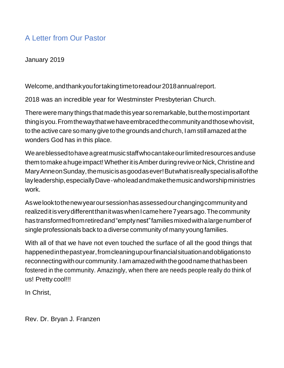### A Letter from Our Pastor

January 2019

Welcome,andthankyoufortakingtimetoreadour2018annualreport.

2018 was an incredible year for Westminster Presbyterian Church.

There were many things that made this year so remarkable, but the most important thingisyou.Fromthewaythatwehaveembracedthecommunityandthosewhovisit, to the active care somany give tothe grounds and church, Iam stillamazed atthe wonders God has in this place.

Weareblessedtohaveagreatmusicstaffwhocantakeourlimitedresourcesanduse them to make a huge impact! Whether it is Amber during revive or Nick, Christine and MaryAnneonSunday,themusicisasgoodasever!Butwhatisreallyspecialisallofthe layleadership,especiallyDave-wholeadandmakethemusicandworshipministries work.

Aswelooktothenewyearoursessionhasassessedourchangingcommunityand realized it is very different than it was when I came here 7 years ago. The community hastransformedfromretiredand"emptynest"familiesmixedwithalargenumberof single professionals back to a diverse community of many young families.

With all of that we have not even touched the surface of all the good things that happenedinthepastyear,fromcleaningupourfinancialsituationandobligationsto reconnectingwithour community.Iamamazedwiththegoodnamethathasbeen fostered in the community. Amazingly, when there are needs people really do think of us! Pretty cool!!!

In Christ,

Rev. Dr. Bryan J. Franzen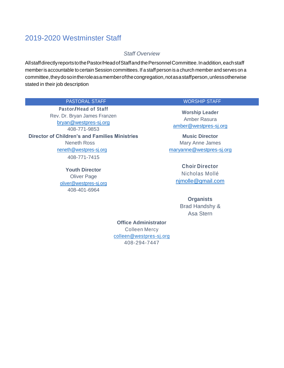### 2019-2020 Westminster Staff

#### *Staff Overview*

AllstaffdirectlyreportstothePastor/HeadofStaffandthePersonnelCommittee.Inaddition,eachstaff member is accountable to certain Session committees. If a staff person is a church member and serves on a committee,theydosointheroleasamemberofthecongregation,notasastaffperson,unlessotherwise stated in their job description

#### PASTORAL STAFF WORSHIP STAFF

**Pastor/Head of Staff** Rev. Dr. Bryan James Franzen [bryan@westpres-sj.org](mailto:bryan@westpres-sj.org) 408-771-9853 **Director of Children's and Families Ministries** Neneth Ross [neneth@westpres-sj.org](mailto:neneth@westpres-sj.org) 408-771-7415

> **Youth Director** Oliver Page [oliver@westpres-sj.org](mailto:oliver@westpres-sj.org) 408-401-6964

**Worship Leader** Amber Rasura [amber@westpres-sj.org](mailto:amber@westpres-sj.org)

**Music Director** Mary Anne James [maryanne@westpres-sj.org](mailto:maryanne@westpres-sj.org)

> **Choir Director** Nicholas Mollé [njmolle@gmail.com](mailto:njmolle@gmail.com)

 **Organists** Brad Handshy & Asa Stern

**Office Administrator** Colleen Mercy [colleen@westpres-sj.org](mailto:colleen@westpres-sj.org) 408-294-7447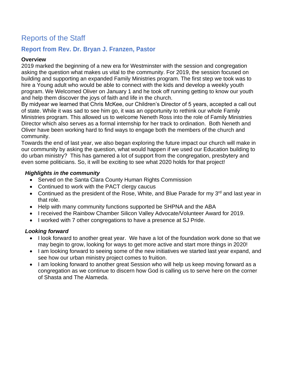### Reports of the Staff

### **Report from Rev. Dr. Bryan J. Franzen, Pastor**

### **Overview**

2019 marked the beginning of a new era for Westminster with the session and congregation asking the question what makes us vital to the community. For 2019, the session focused on building and supporting an expanded Family Ministries program. The first step we took was to hire a Young adult who would be able to connect with the kids and develop a weekly youth program. We Welcomed Oliver on January 1 and he took off running getting to know our youth and help them discover the joys of faith and life in the church.

By midyear we learned that Chris McKee, our Children's Director of 5 years, accepted a call out of state. While it was sad to see him go, it was an opportunity to rethink our whole Family Ministries program. This allowed us to welcome Neneth Ross into the role of Family Ministries Director which also serves as a formal internship for her track to ordination. Both Neneth and Oliver have been working hard to find ways to engage both the members of the church and community.

Towards the end of last year, we also began exploring the future impact our church will make in our community by asking the question, what would happen if we used our Education building to do urban ministry? This has garnered a lot of support from the congregation, presbytery and even some politicians. So, it will be exciting to see what 2020 holds for that project!

### *Highlights in the community*

- Served on the Santa Clara County Human Rights Commission
- Continued to work with the PACT clergy caucus
- Continued as the president of the Rose, White, and Blue Parade for my  $3<sup>rd</sup>$  and last year in that role.
- Help with many community functions supported be SHPNA and the ABA
- I received the Rainbow Chamber Silicon Valley Advocate/Volunteer Award for 2019.
- I worked with 7 other congregations to have a presence at SJ Pride.

### *Looking forward*

- I look forward to another great year. We have a lot of the foundation work done so that we may begin to grow, looking for ways to get more active and start more things in 2020!
- I am looking forward to seeing some of the new initiatives we started last year expand, and see how our urban ministry project comes to fruition.
- I am looking forward to another great Session who will help us keep moving forward as a congregation as we continue to discern how God is calling us to serve here on the corner of Shasta and The Alameda.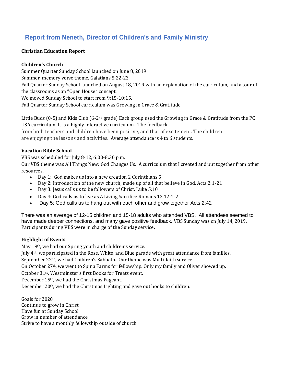### **Report from Neneth, Director of Children's and Family Ministry**

### **Christian Education Report**

### **Children's Church**

Summer Quarter Sunday School launched on June 8, 2019 Summer memory verse theme, Galatians 5:22-23 Fall Quarter Sunday School launched on August 18, 2019 with an explanation of the curriculum, and a tour of the classrooms as an "Open House" concept. We moved Sunday School to start from 9:15-10:15. Fall Quarter Sunday School curriculum was Growing in Grace & Gratitude

Little Buds (0-5) and Kids Club (6-2<sup>nd</sup> grade) Each group used the Growing in Grace & Gratitude from the PC USA curriculum. It is a highly interactive curriculum. The feedback from both teachers and children have been positive, and that of excitement. The children are enjoying the lessons and activities. Average attendance is 4 to 6 students.

### **Vacation Bible School**

VBS was scheduled for July 8-12, 6:00-8:30 p.m.

Our VBS theme was All Things New: God Changes Us. A curriculum that I created and put together from other resources.

- Day 1: God makes us into a new creation 2 Corinthians 5
- Day 2: Introduction of the new church, made up of all that believe in God. Acts 2:1-21
- Day 3: Jesus calls us to be followers of Christ. Luke 5:10
- Day 4: God calls us to live as A Living Sacrifice Romans 12 12:1-2
- Day 5: God calls us to hang out with each other and grow together Acts 2:42

There was an average of 12-15 children and 15-18 adults who attended VBS. All attendees seemed to have made deeper connections, and many gave positive feedback. VBS Sunday was on July 14, 2019. Participants during VBS were in charge of the Sunday service.

### **Highlight of Events**

May 19th, we had our Spring youth and children's service.

July 4th, we participated in the Rose, White, and Blue parade with great attendance from families. September 22nd, we had Children's Sabbath. Our theme was Multi-faith service.

On October 27th, we went to Spina Farms for fellowship. Only my family and Oliver showed up.

October 31st, Westminster's first Books for Treats event.

December 15th, we had the Christmas Pageant.

December 20th, we had the Christmas Lighting and gave out books to children.

Goals for 2020 Continue to grow in Christ Have fun at Sunday School Grow in number of attendance Strive to have a monthly fellowship outside of church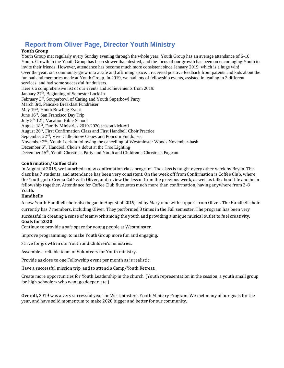### **Report from Oliver Page, Director Youth Ministry**

#### **Youth Group**

Youth Group met regularly every Sunday evening through the whole year. Youth Group has an average attendance of 6-10 Youth. Growth in the Youth Group has been slower than desired, and the focus of our growth has been on encouraging Youth to invite their friends. However, attendance has become much more consistent since January 2019, which is a huge win! Over the year, our community grew into a safe and affirming space. I received positive feedback from parents and kids about the fun had and memories made at Youth Group. In 2019, we had lots of fellowship events, assisted in leading in 3 different services, and had some successful fundraisers. Here's a comprehensive list of our events and achievements from 2019: January 27<sup>th</sup>, Beginning of Semester Lock-In February 3rd, Souperbowl of Caring and Youth Superbowl Party March 3rd, Pancake Breakfast Fundraiser May 19<sup>th</sup>, Youth Bowling Event June 16th, San Francisco Day Trip July 8<sup>th</sup>-12<sup>th</sup>, Vacation Bible School August 18th, Family Ministries 2019-2020 season kick-off August 26th, First Confirmation Class and First Handbell Choir Practice September 22nd, Vive Calle Snow Cones and Popcorn Fundraiser November 2nd, Youth Lock-in following the cancelling of Westminster Woods November-bash

December 6<sup>th</sup>, Handbell Choir's debut at the Tree Lighting

December 15<sup>th</sup>, Youth Christmas Party and Youth and Children's Christmas Pageant

#### **Confirmation/ Coffee Club**

In August of 2019, we launched a new confirmation class program. The class is taught every other week by Bryan. The class has 7 students, and attendance has been very consistent. On the week off from Confirmation is Coffee Club, where the Youth go to Crema Café with Oliver, and review the lesson from the previous week, as well as talk about life and be in fellowship together. Attendance for Coffee Club fluctuates much more than confirmation, having anywhere from 2-8 Youth.

#### **Handbells**

A new Youth Handbell choir also began in August of 2019, led by Maryanne with support from Oliver. The Handbell choir currently has 7 members, including Oliver. They performed 3 times in the Fall semester. The program has been very

successful in creating a sense of teamwork among the youth and providing a unique musical outlet to fuel creativity. **Goals for 2020**

Continue to provide a safe space for young people at Westminster.

Improve programming, to make Youth Group more fun and engaging.

Strive for growth in our Youth and Children's ministries.

Assemble a reliable team of Volunteers for Youth ministry.

Provide as close to one Fellowship event per month as is realistic.

Have a successful mission trip, and to attend a Camp/Youth Retreat.

Create more opportunities for Youth Leadership in the church. (Youth representation in the session, a youth small group for high-schoolers who want go deeper, etc.)

**Overall,** 2019 was a very successful year for Westminster's Youth Ministry Program. We met many of our goals for the year, and have solid momentum to make 2020 bigger and better for our community.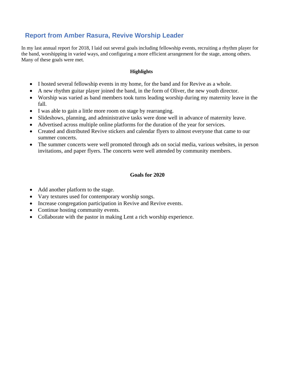### **Report from Amber Rasura, Revive Worship Leader**

In my last annual report for 2018, I laid out several goals including fellowship events, recruiting a rhythm player for the band, worshipping in varied ways, and configuring a more efficient arrangement for the stage, among others. Many of these goals were met.

### **Highlights**

- I hosted several fellowship events in my home, for the band and for Revive as a whole.
- A new rhythm guitar player joined the band, in the form of Oliver, the new youth director.
- Worship was varied as band members took turns leading worship during my maternity leave in the fall.
- I was able to gain a little more room on stage by rearranging.
- Slideshows, planning, and administrative tasks were done well in advance of maternity leave.
- Advertised across multiple online platforms for the duration of the year for services.
- Created and distributed Revive stickers and calendar flyers to almost everyone that came to our summer concerts.
- The summer concerts were well promoted through ads on social media, various websites, in person invitations, and paper flyers. The concerts were well attended by community members.

### **Goals for 2020**

- Add another platform to the stage.
- Vary textures used for contemporary worship songs.
- Increase congregation participation in Revive and Revive events.
- Continue hosting community events.
- Collaborate with the pastor in making Lent a rich worship experience.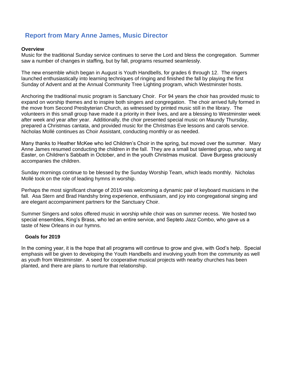### **Report from Mary Anne James, Music Director**

#### **Overview**

Music for the traditional Sunday service continues to serve the Lord and bless the congregation. Summer saw a number of changes in staffing, but by fall, programs resumed seamlessly.

The new ensemble which began in August is Youth Handbells, for grades 6 through 12. The ringers launched enthusiastically into learning techniques of ringing and finished the fall by playing the first Sunday of Advent and at the Annual Community Tree Lighting program, which Westminster hosts.

Anchoring the traditional music program is Sanctuary Choir. For 94 years the choir has provided music to expand on worship themes and to inspire both singers and congregation. The choir arrived fully formed in the move from Second Presbyterian Church, as witnessed by printed music still in the library. The volunteers in this small group have made it a priority in their lives, and are a blessing to Westminster week after week and year after year. Additionally, the choir presented special music on Maundy Thursday, prepared a Christmas cantata, and provided music for the Christmas Eve lessons and carols service. Nicholas Mollé continues as Choir Assistant, conducting monthly or as needed.

Many thanks to Heather McKee who led Children's Choir in the spring, but moved over the summer. Mary Anne James resumed conducting the children in the fall. They are a small but talented group, who sang at Easter, on Children's Sabbath in October, and in the youth Christmas musical. Dave Burgess graciously accompanies the children.

Sunday mornings continue to be blessed by the Sunday Worship Team, which leads monthly. Nicholas Mollé took on the role of leading hymns in worship.

Perhaps the most significant change of 2019 was welcoming a dynamic pair of keyboard musicians in the fall. Asa Stern and Brad Handshy bring experience, enthusiasm, and joy into congregational singing and are elegant accompaniment partners for the Sanctuary Choir.

Summer Singers and solos offered music in worship while choir was on summer recess. We hosted two special ensembles, King's Brass, who led an entire service, and Septeto Jazz Combo, who gave us a taste of New Orleans in our hymns.

#### **Goals for 2019**

In the coming year, it is the hope that all programs will continue to grow and give, with God's help. Special emphasis will be given to developing the Youth Handbells and involving youth from the community as well as youth from Westminster. A seed for cooperative musical projects with nearby churches has been planted, and there are plans to nurture that relationship.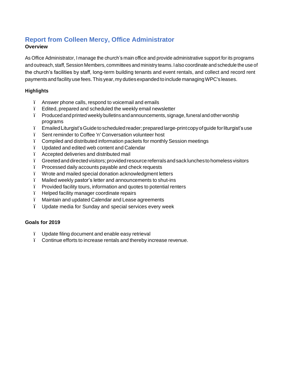### **Report from Colleen Mercy, Office Administrator**

### **Overview**

As Office Administrator, I manage the church's main office and provide administrative support for its programs and outreach, staff, Session Members, committees and ministry teams.Ialso coordinate and schedule the use of the church's facilities by staff, long-term building tenants and event rentals, and collect and record rent payments and facility use fees. This year, my duties expanded to include managing WPC's leases.

### **Highlights**

- ï Answer phone calls, respond to voicemail and emails
- ï Edited, prepared and scheduled the weekly email newsletter
- ï Produced and printed weekly bulletinsand announcements, signage,funeral and other worship programs
- ï EmailedLiturgist'sGuidetoscheduledreader;preparedlarge-printcopyofguide forliturgist'suse
- ï Sent reminder to Coffee 'n' Conversation volunteer host
- ï Compiled and distributed information packets for monthly Session meetings
- ï Updated and edited web content and Calendar
- ï Accepted deliveries and distributed mail
- ï Greetedanddirectedvisitors;providedresourcereferralsandsacklunchesto homelessvisitors
- ï Processed daily accounts payable and check requests
- ï Wrote and mailed special donation acknowledgment letters
- ï Mailed weekly pastor's letter and announcements to shut-ins
- ï Provided facility tours, information and quotes to potential renters
- ï Helped facility manager coordinate repairs
- ï Maintain and updated Calendar and Lease agreements
- ï Update media for Sunday and special services every week

### **Goals for 2019**

- ï Update filing document and enable easy retrieval
- ï Continue efforts to increase rentals and thereby increase revenue.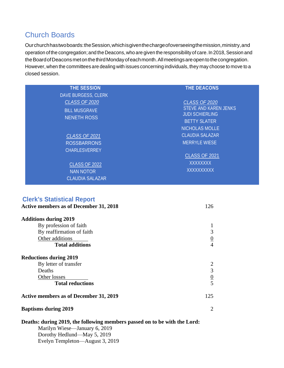### Church Boards

Ourchurchhastwoboards:theSession,whichisgiventhechargeofoverseeingthemission,ministry,and operation of the congregation; and the Deacons, who are given the responsibility of care. In 2018, Session and the Board of Deacons met on the third Monday of each month. All meetings are open to the congregation. However,when the committees are dealing with issues concerning individuals, they may choose to move to a closed session.

| <b>THE SESSION</b>         | <b>THE DEACONS</b>           |
|----------------------------|------------------------------|
| <b>DAVE BURGESS, CLERK</b> |                              |
| <b>CLASS OF 2020</b>       | <b>CLASS OF 2020</b>         |
| <b>BILL MUSGRAVE</b>       | <b>STEVE AND KAREN JENKS</b> |
| <b>NENETH ROSS</b>         | <b>JUDI SCHIERLING</b>       |
|                            | <b>BETTY SLATER</b>          |
|                            | <b>NICHOLAS MOLLE</b>        |
| <b>CLASS OF 2021</b>       | <b>CLAUDIA SALAZAR</b>       |
| <b>ROSSBARRONS</b>         | <b>MERRYLE WIESE</b>         |
| <b>CHARLESVERREY</b>       |                              |
|                            | <b>CLASS OF 2021</b>         |
| <b>CLASS OF 2022</b>       | <b>XXXXXXXX</b>              |
| <b>NAN NOTOR</b>           | XXXXXXXXX                    |
| <b>CLAUDIA SALAZAR</b>     |                              |

### **Clerk's Statistical Report**

| <b>Active members as of December 31, 2018</b> |                |  |  |  |
|-----------------------------------------------|----------------|--|--|--|
| <b>Additions during 2019</b>                  |                |  |  |  |
| By profession of faith                        |                |  |  |  |
| By reaffirmation of faith                     | 3              |  |  |  |
| Other additions                               |                |  |  |  |
| <b>Total additions</b>                        | $\overline{4}$ |  |  |  |
| <b>Reductions during 2019</b>                 |                |  |  |  |
| By letter of transfer                         |                |  |  |  |
| Deaths                                        | 3              |  |  |  |
| Other losses                                  | $\frac{0}{5}$  |  |  |  |
| <b>Total reductions</b>                       |                |  |  |  |
| 125<br>Active members as of December 31, 2019 |                |  |  |  |
| <b>Baptisms during 2019</b>                   |                |  |  |  |

### **Deaths: during 2019, the following members passed on to be with the Lord:** Marilyn Wiese—January 6, 2019 Dorothy Hedlund—May 5, 2019 Evelyn Templeton—August 3, 2019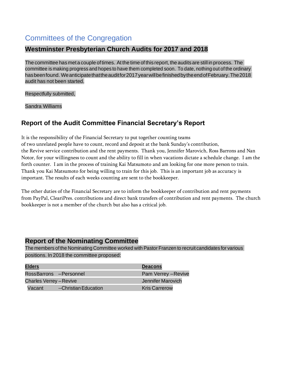### Committees of the Congregation

### **Westminster Presbyterian Church Audits for 2017 and 2018**

The committee has met a couple of times. At the time of this report, the audits are still in process. The committee is making progress and hopes to have them completed soon. To date, nothing out of the ordinary hasbeenfound. Weanticipatethattheauditfor2017yearwillbefinishedbytheendofFebruary.The2018 audit has not been started.

Respectfully submitted,

Sandra Williams

### **Report of the Audit Committee Financial Secretary's Report**

It is the responsibility of the Financial Secretary to put together counting teams

of two unrelated people have to count, record and deposit at the bank Sunday's contribution, the Revive service contribution and the rent payments. Thank you, Jennifer Marovich, Ross Barrons and Nan Notor, for your willingness to count and the ability to fill in when vacations dictate a schedule change. I am the forth counter. I am in the process of training Kai Matsumoto and am looking for one more person to train. Thank you Kai Matsumoto for being willing to train for this job. This is an important job as accuracy is important. The results of each weeks counting are sent to the bookkeeper.

The other duties of the Financial Secretary are to inform the bookkeeper of contribution and rent payments from PayPal, CleariPres. contributions and direct bank transfers of contribution and rent payments. The church bookkeeper is not a member of the church but also has a critical job.

### **Report of the Nominating Committee**

The members of the Nominating Committee worked with Pastor Franzen to recruit candidates for various positions. In 2018 the committee proposed:

| <b>Elders</b>                  |                         | <b>Deacons</b>       |
|--------------------------------|-------------------------|----------------------|
|                                | RossBarrons - Personnel | Pam Verrey - Revive  |
| <b>Charles Verrey - Revive</b> |                         | Jennifer Marovich    |
| Vacant                         | --Christian Education   | <b>Kris Carrerow</b> |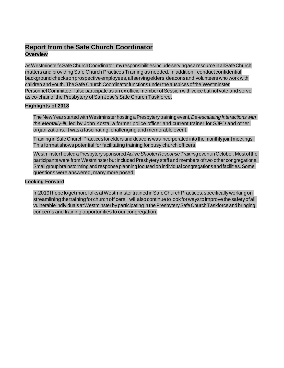### **Report from the Safe Church Coordinator Overview**

AsWestminster'sSafeChurchCoordinator,myresponsibilitiesincludeservingasaresourceinallSafeChurch matters and providing Safe Church Practices Training as needed. In addition,Iconductconfidential backgroundchecksonprospectiveemployees,allservingelders,deaconsand volunteers who work with children and youth. The Safe Church Coordinator functions under the auspices ofthe Westminster Personnel Committee. I also participate as an ex officio member of Session with voice but not vote and serve as co-chair of the Presbytery of San Jose's Safe Church Taskforce.

#### **Highlights of 2018**

The New Year started with Westminster hosting aPresbytery training event*,De-escalating Interactions with the Mentally-ill*, led by John Kosta, a former police officer and current trainer for SJPD and other organizations. It was a fascinating, challenging and memorable event.

Training inSafe Church Practices for elders and deaconswas incorporated into the monthly jointmeetings. This format shows potential for facilitating training for busy church officers.

Westminsterhosted aPresbytery sponsored*ActiveShooterResponseTraining* eventinOctober.Mostofthe participants were from Westminster but included Presbytery staff and members of two other congregations. Small group brainstorming and response planning focused on individual congregations and facilities. Some questions were answered, many more posed.

#### **Looking Forward**

In2019IhopetogetmorefolksatWestminstertrainedinSafeChurchPractices,specificallyworkingon streamlining the training for church officers. I will also continue to look for ways to improve the safety of all vulnerable individualsatWestminsterbyparticipatingin thePresbyterySafeChurchTaskforce and bringing concerns and training opportunities to our congregation.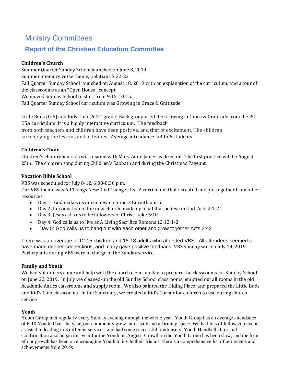### Ministry Committees

### **Report of the Christian Education Committee**

### **Children's Church**

Summer Quarter Sunday School launched on June 8, 2019 Summer memory verse theme, Galatians 5:22-23 Fall Quarter Sunday School launched on August 18, 2019 with an explanation of the curriculum, and a tour of the classrooms as an "Open House" concept. We moved Sunday School to start from 9:15-10:15. Fall Quarter Sunday School curriculum was Growing in Grace & Gratitude

Little Buds (0-5) and Kids Club (6-2<sup>nd</sup> grade) Each group used the Growing in Grace & Gratitude from the PC USA curriculum. It is a highly interactive curriculum. The feedback from both teachers and children have been positive, and that of excitement. The children are enjoying the lessons and activities. Average attendance is 4 to 6 students.

### **Children's Choir**

Children's choir rehearsals will resume with Mary Anne James as director. The first practice will be August 25th. The children sang during Children's Sabbath and during the Christmas Pageant.

### **Vacation Bible School**

VBS was scheduled for July 8-12, 6:00-8:30 p.m.

Our VBS theme was All Things New: God Changes Us. A curriculum that I created and put together from other resources.

- Day 1: God makes us into a new creation 2 Corinthians 5
- Day 2: Introduction of the new church, made up of all that believe in God. Acts 2:1-21
- Day 3: Jesus calls us to be followers of Christ. Luke 5:10
- Day 4: God calls us to live as A Living Sacrifice Romans 12 12:1-2
- Day 5: God calls us to hang out with each other and grow together Acts 2:42

There was an average of 12-15 children and 15-18 adults who attended VBS. All attendees seemed to have made deeper connections, and many gave positive feedback. VBS Sunday was on July 14, 2019. Participants during VBS were in charge of the Sunday service.

### **Family and Youth**

We had volunteers come and help with the church clean-up day to prepare the classrooms for Sunday School on June 22, 2019. In July we cleaned-up the old Sunday School classrooms, emptied out all rooms in the old Academic Antics classrooms and supply room. We also painted the Hiding Place, and prepared the Little Buds and Kid's Club classrooms. In the Sanctuary, we created a Kid's Corner for children to use during church service.

### **Youth**

Youth Group met regularly every Sunday evening through the whole year. Youth Group has an average attendance of 6-10 Youth. Over the year, our community grew into a safe and affirming space. We had lots of fellowship events, assisted in leading in 3 different services, and had some successful fundraisers. Youth Handbell choir and Confirmation also began this year for the Youth, in August. Growth in the Youth Group has been slow, and the focus of our growth has been on encouraging Youth to invite their friends. Here's a comprehensive list of our events and achievements from 2019: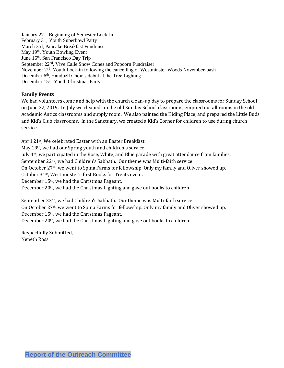January 27<sup>th</sup>, Beginning of Semester Lock-In February 3rd, Youth Superbowl Party March 3rd, Pancake Breakfast Fundraiser May 19<sup>th</sup>, Youth Bowling Event June 16th, San Francisco Day Trip September 22nd, Vive Calle Snow Cones and Popcorn Fundraiser November 2nd, Youth Lock-in following the cancelling of Westminster Woods November-bash December 6<sup>th</sup>, Handbell Choir's debut at the Tree Lighting December 15<sup>th</sup>, Youth Christmas Party

#### **Family Events**

We had volunteers come and help with the church clean-up day to prepare the classrooms for Sunday School on June 22, 2019. In July we cleaned-up the old Sunday School classrooms, emptied out all rooms in the old Academic Antics classrooms and supply room. We also painted the Hiding Place, and prepared the Little Buds and Kid's Club classrooms. In the Sanctuary, we created a Kid's Corner for children to use during church service.

April 21st, We celebrated Easter with an Easter Breakfast

May 19th, we had our Spring youth and children's service.

July 4th, we participated in the Rose, White, and Blue parade with great attendance from families.

September 22nd, we had Children's Sabbath. Our theme was Multi-faith service.

On October 27th, we went to Spina Farms for fellowship. Only my family and Oliver showed up.

October 31st, Westminster's first Books for Treats event.

December 15th, we had the Christmas Pageant.

December 20th, we had the Christmas Lighting and gave out books to children.

September 22nd, we had Children's Sabbath. Our theme was Multi-faith service.

On October 27th, we went to Spina Farms for fellowship. Only my family and Oliver showed up.

December 15th, we had the Christmas Pageant.

December 20th, we had the Christmas Lighting and gave out books to children.

Respectfully Submitted, Neneth Ross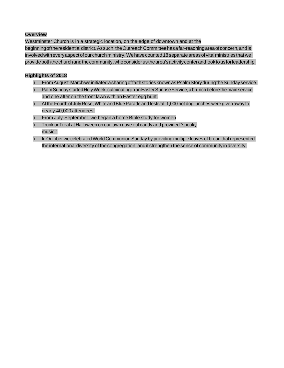#### **Overview**

Westminster Church is in a strategic location, on the edge of downtown and at the beginning of the residential district. As such, the Outreach Committee has a far-reaching area of concern, and is involved with every aspect of our church ministry. We have counted 18 separate areas of vital ministries that we provideboththechurchandthecommunity,whoconsiderusthearea'sactivitycenterandlooktousforleadership.

#### **Highlights of 2018**

- ï FromAugust-MarchweinitiatedasharingoffaithstoriesknownasPsalmStoryduringtheSundayservice. ï PalmSunday startedHolyWeek, culminating inanEasterSunriseService,a brunchbeforethemainservice and one after on the front lawn with an Easter egg hunt.
- At the Fourth of July Rose, White and Blue Parade and festival, 1,000 hot dog lunches were given away to nearly 40,000 attendees.
- From July-September, we began a home Bible study for women
- ï Trunk or Treat at Halloween on our lawn gave out candy and provided "spooky music."
- In October we celebrated World Communion Sunday by providing multiple loaves of bread that represented the international diversity of the congregation, and it strengthen the sense of community in diversity.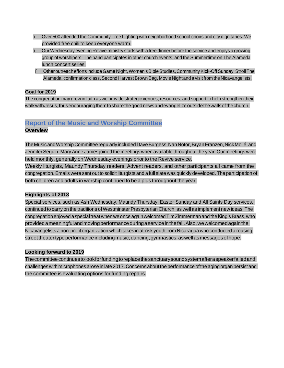- Over 500 attended the Community Tree Lighting with neighborhood school choirs and city dignitaries. We provided free chili to keep everyone warm.
- ï Our Wednesday evening Revive ministry starts with <sup>a</sup> free dinner before the service and enjoys <sup>a</sup> growing group of worshipers. The band participates in other church events, and the Summertime on The Alameda lunch concert series.
- i Other outreach efforts include Game Night, Women's Bible Studies, Community Kick-Off Sunday, Stroll The Alameda, confirmation class, Second Harvest Brown Bag, Movie Night and a visit from the Nicavangelists.

#### **Goal for 2019**

The congregation may grow in faith as we provide strategic venues, resources, and support to help strengthen their walkwithJesus,thusencouragingthemtosharethegoodnewsandevangelizeoutsidethewallsofthechurch.

### **Report of the Music and Worship Committee**

### **Overview**

TheMusicandWorshipCommittee regularly includedDaveBurgess,NanNotor,BryanFranzen,NickMollé,and JenniferSeguin. Mary Anne James joined the meetings when available throughout the year. Our meetings were held monthly, generally on Wednesday evenings prior to the Revive service.

Weekly liturgists, Maundy Thursday readers, Advent readers, and other participants all came from the congregation. Emails were sent out to solicit liturgists and a full slate was quickly developed. The participation of both children and adults in worship continued to be a plus throughout the year.

### **Highlights of 2018**

Special services, such as Ash Wednesday, Maundy Thursday, Easter Sunday and All Saints Day services, continued to carry on the traditions of Westminster Presbyterian Church, as well as implement new ideas. The congregation enjoyed a special treat when we once again welcomed Tim Zimmerman and the King's Brass, who providedameaningfulandmovingperformanceduringaserviceinthefall.Also,wewelcomedagainthe Nicavangelists a non-profit organization which takes in at-risk youth from Nicaragua who conducted a rousing street theater type performance including music, dancing, gymnastics, as well as messages of hope.

### **Looking forward to 2019**

Thecommitteecontinuestolookforfundingtoreplacethesanctuarysoundsystemafteraspeakerfailedand challenges with microphones arose in late 2017.Concerns aboutthe performance ofthe aging organ persistand the committee is evaluating options for funding repairs.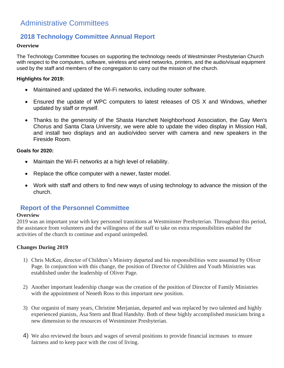### Administrative Committees

### **2018 Technology Committee Annual Report**

#### **Overview**

The Technology Committee focuses on supporting the technology needs of Westminster Presbyterian Church with respect to the computers, software, wireless and wired networks, printers, and the audio/visual equipment used by the staff and members of the congregation to carry out the mission of the church.

### **Highlights for 2019:**

- Maintained and updated the Wi-Fi networks, including router software.
- Ensured the update of WPC computers to latest releases of OS X and Windows, whether updated by staff or myself.
- Thanks to the generosity of the Shasta Hanchett Neighborhood Association, the Gay Men's Chorus and Santa Clara University, we were able to update the video display in Mission Hall, and install two displays and an audio/video server with camera and new speakers in the Fireside Room.

### **Goals for 2020:**

- Maintain the Wi-Fi networks at a high level of reliability.
- Replace the office computer with a newer, faster model.
- Work with staff and others to find new ways of using technology to advance the mission of the church.

### **Report of the Personnel Committee**

### **Overview**

2019 was an important year with key personnel transitions at Westminster Presbyterian. Throughout this period, the assistance from volunteers and the willingness of the staff to take on extra responsibilities enabled the activities of the church to continue and expand unimpeded.

### **Changes During 2019**

- 1) Chris McKee, director of Children's Ministry departed and his responsibilities were assumed by Oliver Page. In conjunction with this change, the position of Director of Children and Youth Ministries was established under the leadership of Oliver Page.
- 2) Another important leadership change was the creation of the position of Director of Family Ministries with the appointment of Neneth Ross to this important new position.
- 3) Our organist of many years, Christine Merjanian, departed and was replaced by two talented and highly experienced pianists, Asa Stern and Brad Handshy. Both of these highly accomplished musicians bring a new dimension to the resources of Westminster Presbyterian.
- 4) We also reviewed the hours and wages of several positions to provide financial increases to ensure fairness and to keep pace with the cost of living.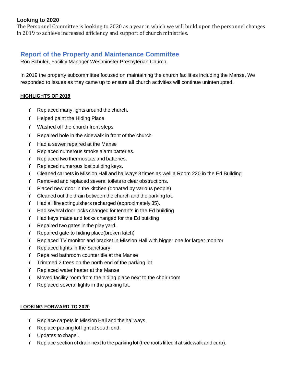### **Looking to 2020**

The Personnel Committee is looking to 2020 as a year in which we will build upon the personnel changes in 2019 to achieve increased efficiency and support of church ministries.

### **Report of the Property and Maintenance Committee**

Ron Schuler, Facility Manager Westminster Presbyterian Church.

In 2019 the property subcommittee focused on maintaining the church facilities including the Manse. We responded to issues as they came up to ensure all church activities will continue uninterrupted.

### **HIGHLIGHTS OF 2018**

- ï Replaced many lights around the church.
- ï Helped paint the Hiding Place
- ï Washed off the church front steps
- ï Repaired hole in the sidewalk in front of the church
- ï Had a sewer repaired at the Manse
- ï Replaced numerous smoke alarm batteries.
- ï Replaced two thermostats and batteries.
- ï Replaced numerous lost building keys.
- ï Cleaned carpets in Mission Hall and hallways 3 times as well a Room 220 in the Ed Building
- ï Removed and replaced several toilets to clear obstructions.
- ï Placed new door in the kitchen (donated by various people)
- ï Cleaned out the drain between the church and the parking lot.
- ï Had all fire extinguishers recharged (approximately 35).
- ï Had several door locks changed for tenants in the Ed building
- ï Had keys made and locks changed for the Ed building
- ï Repaired two gates in the play yard.
- ï Repaired gate to hiding place(broken latch)
- ï Replaced TV monitor and bracket in Mission Hall with bigger one for larger monitor
- ï Replaced lights in the Sanctuary
- ï Repaired bathroom counter tile at the Manse
- ï Trimmed 2 trees on the north end of the parking lot
- ï Replaced water heater at the Manse
- ï Moved facility room from the hiding place next to the choir room
- ï Replaced several lights in the parking lot.

### **LOOKING FORWARD TO 2020**

- ï Replace carpets in Mission Hall and the hallways.
- ï Replace parking lot light at south end.
- ï Updates to chapel.
- ï Replace section of drain next to the parking lot (tree roots lifted it at sidewalk and curb).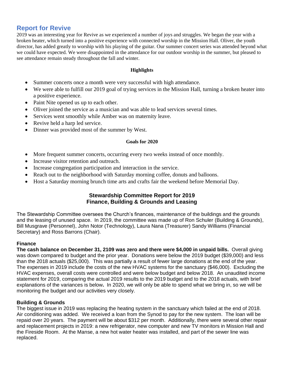### **Report for Revive**

2019 was an interesting year for Revive as we experienced a number of joys and struggles. We began the year with a broken heater, which turned into a positive experience with connected worship in the Mission Hall. Oliver, the youth director, has added greatly to worship with his playing of the guitar. Our summer concert series was attended beyond what we could have expected. We were disappointed in the attendance for our outdoor worship in the summer, but pleased to see attendance remain steady throughout the fall and winter.

#### **Highlights**

- Summer concerts once a month were very successful with high attendance.
- We were able to fulfill our 2019 goal of trying services in the Mission Hall, turning a broken heater into a positive experience.
- Paint Nite opened us up to each other.
- Oliver joined the service as a musician and was able to lead services several times.
- Services went smoothly while Amber was on maternity leave.
- Revive held a harp led service.
- Dinner was provided most of the summer by West.

#### **Goals for 2020**

- More frequent summer concerts, occurring every two weeks instead of once monthly.
- Increase visitor retention and outreach.
- Increase congregation participation and interaction in the service.
- Reach out to the neighborhood with Saturday morning coffee, donuts and balloons.
- Host a Saturday morning brunch time arts and crafts fair the weekend before Memorial Day.

### **Stewardship Committee Report for 2019 Finance, Building & Grounds and Leasing**

The Stewardship Committee oversees the Church's finances, maintenance of the buildings and the grounds and the leasing of unused space. In 2019, the committee was made up of Ron Schuler (Building & Grounds), Bill Musgrave (Personnel), John Notor (Technology), Laura Nana (Treasurer) Sandy Williams (Financial Secretary) and Ross Barrons (Chair).

#### **Finance**

**The cash balance on December 31, 2109 was zero and there were \$4,000 in unpaid bills.** Overall giving was down compared to budget and the prior year. Donations were below the 2019 budget (\$39,000) and less than the 2018 actuals (\$25,000). This was partially a result of fewer large donations at the end of the year. The expenses in 2019 include the costs of the new HVAC systems for the sanctuary (\$46,000). Excluding the HVAC expenses, overall costs were controlled and were below budget and below 2018. An unaudited income statement for 2019, comparing the actual 2019 results to the 2019 budget and to the 2018 actuals, with brief explanations of the variances is below**.** In 2020, we will only be able to spend what we bring in, so we will be monitoring the budget and our activities very closely.

### **Building & Grounds**

The biggest issue in 2019 was replacing the heating system in the sanctuary which failed at the end of 2018. Air conditioning was added. We received a loan from the Synod to pay for the new system. The loan will be repaid over 20 years. The payment will be about \$312 per month. Additionally, there were several other repair and replacement projects in 2019: a new refrigerator, new computer and new TV monitors in Mission Hall and the Fireside Room. At the Manse, a new hot water heater was installed, and part of the sewer line was replaced.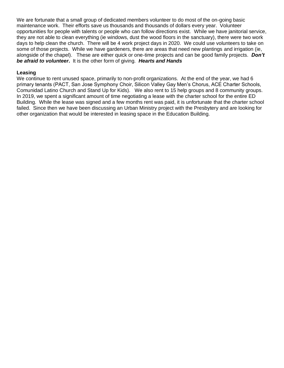We are fortunate that a small group of dedicated members volunteer to do most of the on-going basic maintenance work. Their efforts save us thousands and thousands of dollars every year. Volunteer opportunities for people with talents or people who can follow directions exist. While we have janitorial service, they are not able to clean everything (ie windows, dust the wood floors in the sanctuary), there were two work days to help clean the church. There will be 4 work project days in 2020. We could use volunteers to take on some of those projects. While we have gardeners, there are areas that need new plantings and irrigation (ie, alongside of the chapel). These are either quick or one-time projects and can be good family projects. *Don't be afraid to volunteer***.** It is the other form of giving. *Hearts and Hands*

#### **Leasing**

We continue to rent unused space, primarily to non-profit organizations. At the end of the year, we had 6 primary tenants (PACT, San Jose Symphony Choir, Silicon Valley Gay Men's Chorus, ACE Charter Schools, Comunidad Latino Church and Stand Up for Kids). We also rent to 15 help groups and 8 community groups. In 2019, we spent a significant amount of time negotiating a lease with the charter school for the entire ED Building. While the lease was signed and a few months rent was paid, it is unfortunate that the charter school failed. Since then we have been discussing an Urban Ministry project with the Presbytery and are looking for other organization that would be interested in leasing space in the Education Building.